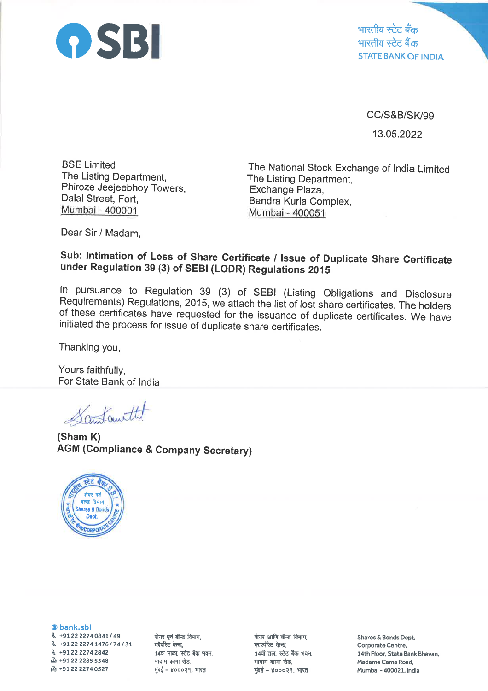

CC/S&B/SK/99 13.05.2022

BSE Limited The Listing Department, Phiroze Jeejeebhoy Towers, Dalal Street, Fort, Mumbai - 400001

The National Stock Exchange of lndia Limited The Listing Department, Exchange Plaza, Bandra Kurla Complex, Mumbai - 400051

Dear Sir / Madam,

## Sub: Intimation of Loss of Share Certificate / Issue of Duplicate Share Certificate under Regulation 39 (3) of SEBI (LODR) Regulations 2015

In pursuance to Regulation 39 (3) of SEBI (Listing Obligations and Disclosure Requirements) Regulations, 2015, we attach the list of lost share certificates. The holders of these certificates have requested for the issuanc

Thanking you,

Yours faithfully, For State Bank of lndia

Samtanittet

(Sham K) AGM (Compliance & Company Secretary)



@ bank.sbi

 $\%$  +91 22 2274 0841 / 49 g +912222741476174131 \ +912222742842  $\bigoplus$  +91 22 2285 5348 & +912222740527

शेयर एवं बॉन्ड विभाग, कॉर्पोरेट केन्द्र, 14वा माळा, स्टेट बैंक भवन, मादाम कामा रोड, मुंबई – ४०००२१, भारत

शेयर आणि बॉन्ड विभाग, कारपोरेट केन्द्र, 14वाँ तल, स्टेट बैंक भवन, मादाम कामा रोड, मुंबई – ४०००२१, भारत

Shares & Bonds Dept, Corporate Centre, 14th Floor, State Bank Bhavan, Madame Cama Road, Mumbal - 400021, India